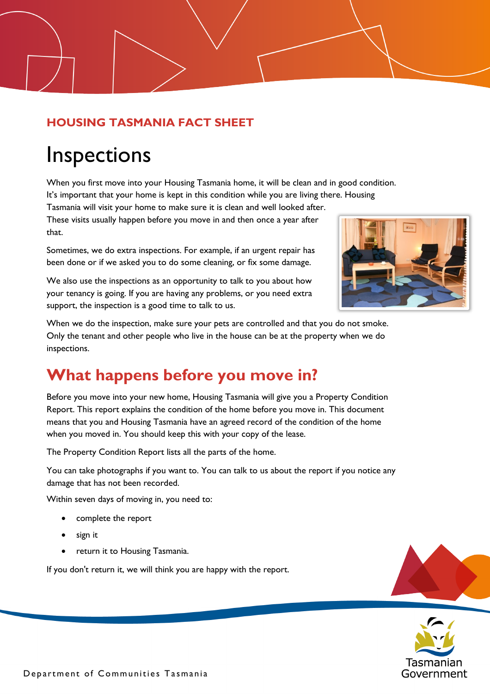#### **HOUSING TASMANIA FACT SHEET**

# Inspections

When you first move into your Housing Tasmania home, it will be clean and in good condition.

It's important that your home is kept in this condition while you are living there. Housing

Tasmania will visit your home to make sure it is clean and well looked after. These visits usually happen before you move in and then once a year after that.

Sometimes, we do extra inspections. For example, if an urgent repair has been done or if we asked you to do some cleaning, or fix some damage.

We also use the inspections as an opportunity to talk to you about how your tenancy is going. If you are having any problems, or you need extra support, the inspection is a good time to talk to us.



When we do the inspection, make sure your pets are controlled and that you do not smoke. Only the tenant and other people who live in the house can be at the property when we do inspections.

### **What happens before you move in?**

Before you move into your new home, Housing Tasmania will give you a Property Condition Report. This report explains the condition of the home before you move in. This document means that you and Housing Tasmania have an agreed record of the condition of the home when you moved in. You should keep this with your copy of the lease.

The Property Condition Report lists all the parts of the home.

You can take photographs if you want to. You can talk to us about the report if you notice any damage that has not been recorded.

Within seven days of moving in, you need to:

- complete the report
- sign it
- return it to Housing Tasmania.

If you don't return it, we will think you are happy with the report.



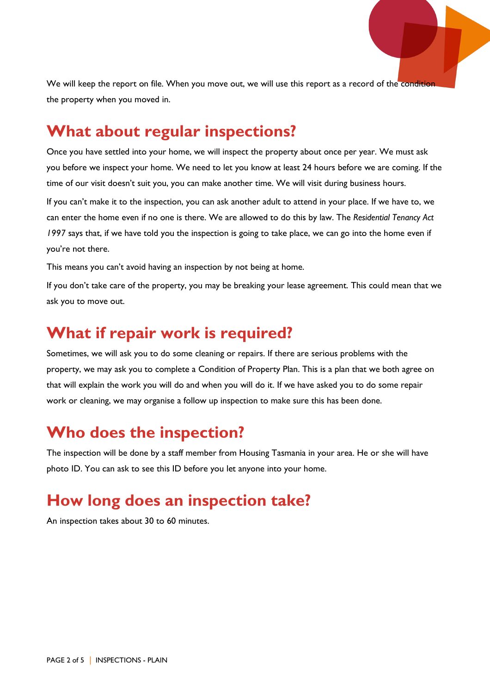We will keep the report on file. When you move out, we will use this report as a record of the condition the property when you moved in.

#### **What about regular inspections?**

Once you have settled into your home, we will inspect the property about once per year. We must ask you before we inspect your home. We need to let you know at least 24 hours before we are coming. If the time of our visit doesn't suit you, you can make another time. We will visit during business hours.

If you can't make it to the inspection, you can ask another adult to attend in your place. If we have to, we can enter the home even if no one is there. We are allowed to do this by law. The *Residential Tenancy Act 1997* says that, if we have told you the inspection is going to take place, we can go into the home even if you're not there.

This means you can't avoid having an inspection by not being at home.

If you don't take care of the property, you may be breaking your lease agreement. This could mean that we ask you to move out.

#### **What if repair work is required?**

Sometimes, we will ask you to do some cleaning or repairs. If there are serious problems with the property, we may ask you to complete a Condition of Property Plan. This is a plan that we both agree on that will explain the work you will do and when you will do it. If we have asked you to do some repair work or cleaning, we may organise a follow up inspection to make sure this has been done.

### **Who does the inspection?**

The inspection will be done by a staff member from Housing Tasmania in your area. He or she will have photo ID. You can ask to see this ID before you let anyone into your home.

#### **How long does an inspection take?**

An inspection takes about 30 to 60 minutes.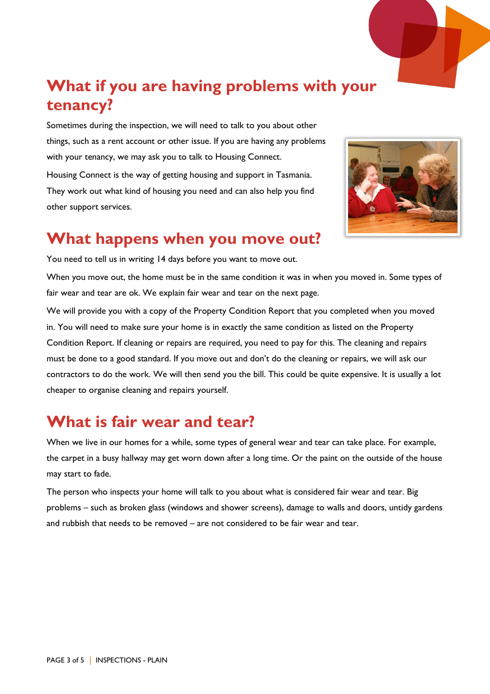### **What if you are having problems with your tenancy?**

Sometimes during the inspection, we will need to talk to you about other things, such as a rent account or other issue. If you are having any problems with your tenancy, we may ask you to talk to Housing Connect. Housing Connect is the way of getting housing and support in Tasmania. They work out what kind of housing you need and can also help you find other support services.



#### **What happens when you move out?**

You need to tell us in writing 14 days before you want to move out.

When you move out, the home must be in the same condition it was in when you moved in. Some types of fair wear and tear are ok. We explain fair wear and tear on the next page.

We will provide you with a copy of the Property Condition Report that you completed when you moved in. You will need to make sure your home is in exactly the same condition as listed on the Property Condition Report. If cleaning or repairs are required, you need to pay for this. The cleaning and repairs must be done to a good standard. If you move out and don't do the cleaning or repairs, we will ask our contractors to do the work. We will then send you the bill. This could be quite expensive. It is usually a lot cheaper to organise cleaning and repairs yourself.

### **What is fair wear and tear?**

When we live in our homes for a while, some types of general wear and tear can take place. For example, the carpet in a busy hallway may get worn down after a long time. Or the paint on the outside of the house may start to fade.

The person who inspects your home will talk to you about what is considered fair wear and tear. Big problems – such as broken glass (windows and shower screens), damage to walls and doors, untidy gardens and rubbish that needs to be removed – are not considered to be fair wear and tear.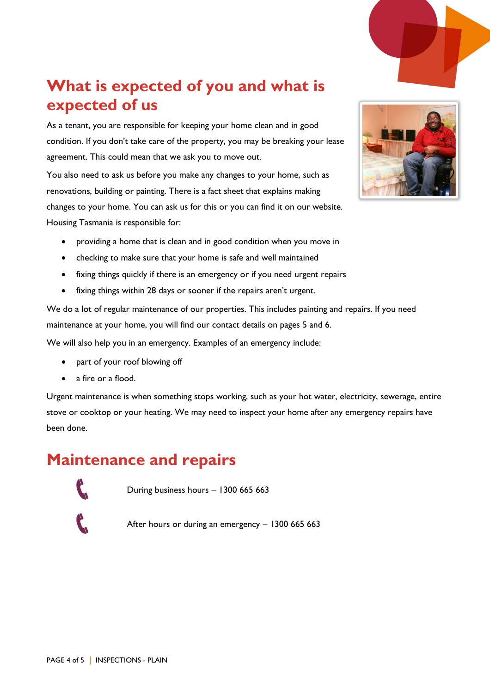### **What is expected of you and what is expected of us**

As a tenant, you are responsible for keeping your home clean and in good condition. If you don't take care of the property, you may be breaking your lease agreement. This could mean that we ask you to move out.

You also need to ask us before you make any changes to your home, such as renovations, building or painting. There is a fact sheet that explains making changes to your home. You can ask us for this or you can find it on our website. Housing Tasmania is responsible for:

- providing a home that is clean and in good condition when you move in
- checking to make sure that your home is safe and well maintained
- fixing things quickly if there is an emergency or if you need urgent repairs
- fixing things within 28 days or sooner if the repairs aren't urgent.

We do a lot of regular maintenance of our properties. This includes painting and repairs. If you need maintenance at your home, you will find our contact details on pages 5 and 6.

We will also help you in an emergency. Examples of an emergency include:

- part of your roof blowing off
- a fire or a flood.

Urgent maintenance is when something stops working, such as your hot water, electricity, sewerage, entire stove or cooktop or your heating. We may need to inspect your home after any emergency repairs have been done.

### **Maintenance and repairs**

During business hours − 1300 665 663

After hours or during an emergency – 1300 665 663